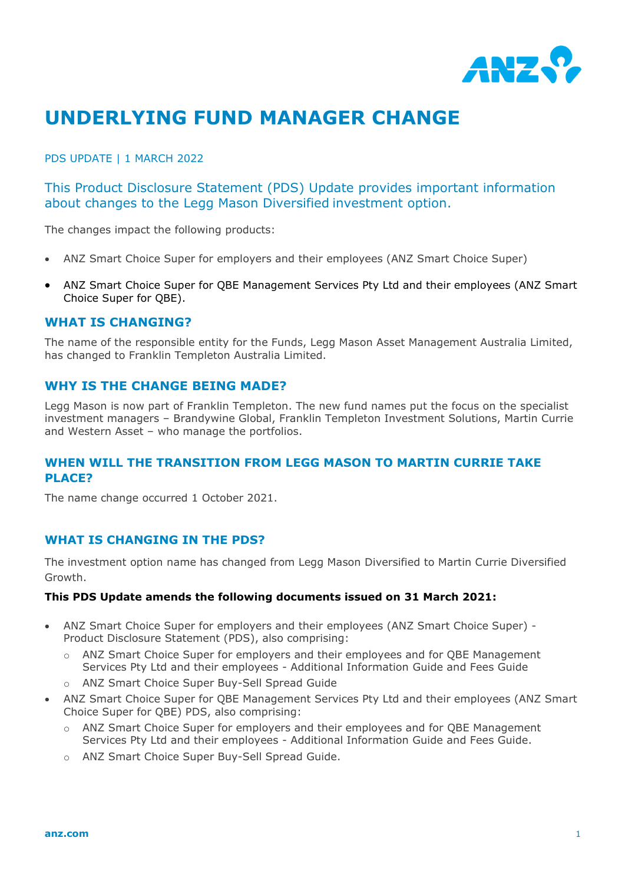

# **UNDERLYING FUND MANAGER CHANGE**

PDS UPDATE | 1 MARCH 2022

This Product Disclosure Statement (PDS) Update provides important information about changes to the Legg Mason Diversified investment option.

The changes impact the following products:

- ANZ Smart Choice Super for employers and their employees (ANZ Smart Choice Super)
- ANZ Smart Choice Super for QBE Management Services Pty Ltd and their employees (ANZ Smart Choice Super for QBE).

#### **WHAT IS CHANGING?**

The name of the responsible entity for the Funds, Legg Mason Asset Management Australia Limited, has changed to Franklin Templeton Australia Limited.

## **WHY IS THE CHANGE BEING MADE?**

Legg Mason is now part of Franklin Templeton. The new fund names put the focus on the specialist investment managers – Brandywine Global, Franklin Templeton Investment Solutions, Martin Currie and Western Asset – who manage the portfolios.

## **WHEN WILL THE TRANSITION FROM LEGG MASON TO MARTIN CURRIE TAKE PLACE?**

The name change occurred 1 October 2021.

#### **WHAT IS CHANGING IN THE PDS?**

The investment option name has changed from Legg Mason Diversified to Martin Currie Diversified Growth.

#### **This PDS Update amends the following documents issued on 31 March 2021:**

- ANZ Smart Choice Super for employers and their employees (ANZ Smart Choice Super) Product Disclosure Statement (PDS), also comprising:
	- o ANZ Smart Choice Super for employers and their employees and for QBE Management Services Pty Ltd and their employees - Additional Information Guide and Fees Guide
	- o ANZ Smart Choice Super Buy-Sell Spread Guide
- ANZ Smart Choice Super for QBE Management Services Pty Ltd and their employees (ANZ Smart Choice Super for QBE) PDS, also comprising:
	- o ANZ Smart Choice Super for employers and their employees and for QBE Management Services Pty Ltd and their employees - Additional Information Guide and Fees Guide.
	- o ANZ Smart Choice Super Buy-Sell Spread Guide.